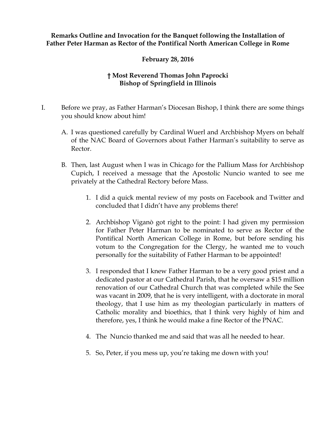## **Remarks Outline and Invocation for the Banquet following the Installation of Father Peter Harman as Rector of the Pontifical North American College in Rome**

## **February 28, 2016**

## **† Most Reverend Thomas John Paprocki Bishop of Springfield in Illinois**

- I. Before we pray, as Father Harman's Diocesan Bishop, I think there are some things you should know about him!
	- A. I was questioned carefully by Cardinal Wuerl and Archbishop Myers on behalf of the NAC Board of Governors about Father Harman's suitability to serve as Rector.
	- B. Then, last August when I was in Chicago for the Pallium Mass for Archbishop Cupich, I received a message that the Apostolic Nuncio wanted to see me privately at the Cathedral Rectory before Mass.
		- 1. I did a quick mental review of my posts on Facebook and Twitter and concluded that I didn't have any problems there!
		- 2. Archbishop Viganò got right to the point: I had given my permission for Father Peter Harman to be nominated to serve as Rector of the Pontifical North American College in Rome, but before sending his votum to the Congregation for the Clergy, he wanted me to vouch personally for the suitability of Father Harman to be appointed!
		- 3. I responded that I knew Father Harman to be a very good priest and a dedicated pastor at our Cathedral Parish, that he oversaw a \$15 million renovation of our Cathedral Church that was completed while the See was vacant in 2009, that he is very intelligent, with a doctorate in moral theology, that I use him as my theologian particularly in matters of Catholic morality and bioethics, that I think very highly of him and therefore, yes, I think he would make a fine Rector of the PNAC.
		- 4. The Nuncio thanked me and said that was all he needed to hear.
		- 5. So, Peter, if you mess up, you're taking me down with you!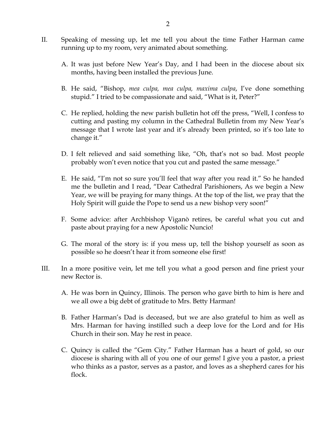- II. Speaking of messing up, let me tell you about the time Father Harman came running up to my room, very animated about something.
	- A. It was just before New Year's Day, and I had been in the diocese about six months, having been installed the previous June.
	- B. He said, "Bishop, *mea culpa, mea culpa, maxima culpa*, I've done something stupid." I tried to be compassionate and said, "What is it, Peter?"
	- C. He replied, holding the new parish bulletin hot off the press, "Well, I confess to cutting and pasting my column in the Cathedral Bulletin from my New Year's message that I wrote last year and it's already been printed, so it's too late to change it."
	- D. I felt relieved and said something like, "Oh, that's not so bad. Most people probably won't even notice that you cut and pasted the same message."
	- E. He said, "I'm not so sure you'll feel that way after you read it." So he handed me the bulletin and I read, "Dear Cathedral Parishioners, As we begin a New Year, we will be praying for many things. At the top of the list, we pray that the Holy Spirit will guide the Pope to send us a new bishop very soon!"
	- F. Some advice: after Archbishop Viganò retires, be careful what you cut and paste about praying for a new Apostolic Nuncio!
	- G. The moral of the story is: if you mess up, tell the bishop yourself as soon as possible so he doesn't hear it from someone else first!
- III. In a more positive vein, let me tell you what a good person and fine priest your new Rector is.
	- A. He was born in Quincy, Illinois. The person who gave birth to him is here and we all owe a big debt of gratitude to Mrs. Betty Harman!
	- B. Father Harman's Dad is deceased, but we are also grateful to him as well as Mrs. Harman for having instilled such a deep love for the Lord and for His Church in their son. May he rest in peace.
	- C. Quincy is called the "Gem City." Father Harman has a heart of gold, so our diocese is sharing with all of you one of our gems! I give you a pastor, a priest who thinks as a pastor, serves as a pastor, and loves as a shepherd cares for his flock.